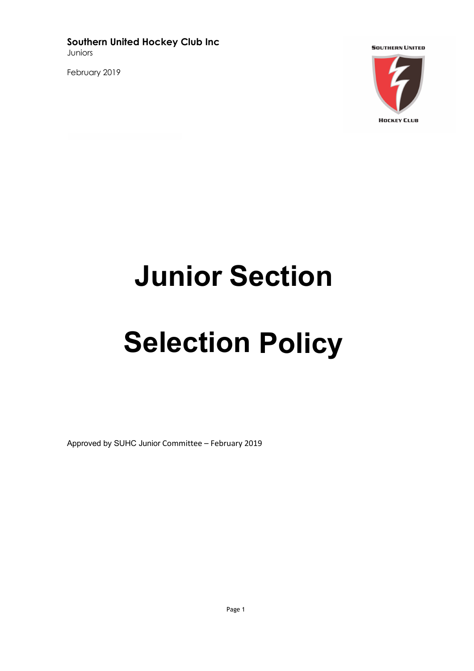**Southern United Hockey Club Inc** Juniors

February 2019



**Junior Section**

## **Selection Policy**

Approved by SUHC Junior Committee – February 2019

Page 1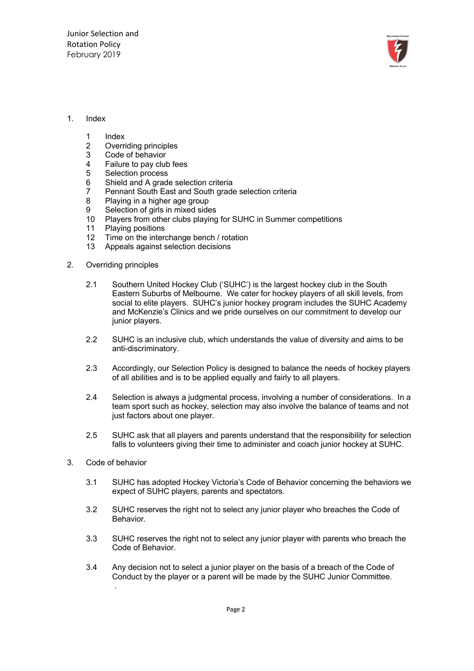

## 1. Index

- 
- 1 Index<br>2 Overri 2 Overriding principles<br>3 Code of behavior
- Code of behavior
- 4 Failure to pay club fees<br>5 Selection process
- 5 Selection process<br>6 Shield and A grad
- Shield and A grade selection criteria
- 7 Pennant South East and South grade selection criteria
- 8 Playing in a higher age group
- 9 Selection of girls in mixed sides
- 10 Players from other clubs playing for SUHC in Summer competitions
- 11 Playing positions
- 12 Time on the interchange bench / rotation
- 13 Appeals against selection decisions
- 2. Overriding principles
	- 2.1 Southern United Hockey Club ('SUHC') is the largest hockey club in the South Eastern Suburbs of Melbourne. We cater for hockey players of all skill levels, from social to elite players. SUHC's junior hockey program includes the SUHC Academy and McKenzie's Clinics and we pride ourselves on our commitment to develop our junior players.
	- 2.2 SUHC is an inclusive club, which understands the value of diversity and aims to be anti-discriminatory.
	- 2.3 Accordingly, our Selection Policy is designed to balance the needs of hockey players of all abilities and is to be applied equally and fairly to all players.
	- 2.4 Selection is always a judgmental process, involving a number of considerations. In a team sport such as hockey, selection may also involve the balance of teams and not just factors about one player.
	- 2.5 SUHC ask that all players and parents understand that the responsibility for selection falls to volunteers giving their time to administer and coach junior hockey at SUHC.
- 3. Code of behavior
	- 3.1 SUHC has adopted Hockey Victoria's Code of Behavior concerning the behaviors we expect of SUHC players, parents and spectators.
	- 3.2 SUHC reserves the right not to select any junior player who breaches the Code of Behavior.
	- 3.3 SUHC reserves the right not to select any junior player with parents who breach the Code of Behavior.
	- 3.4 Any decision not to select a junior player on the basis of a breach of the Code of Conduct by the player or a parent will be made by the SUHC Junior Committee. .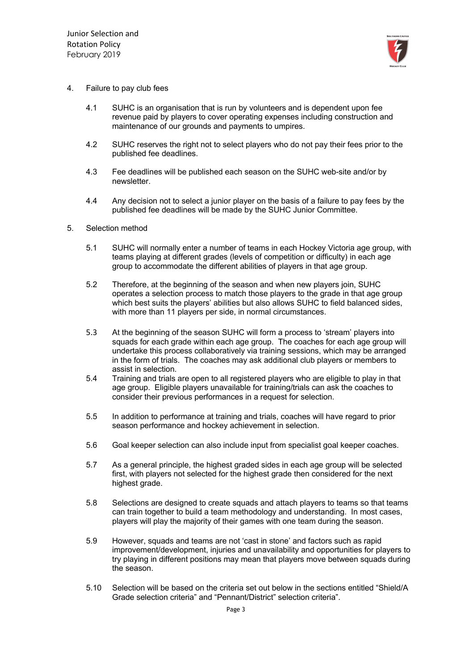

- 4. Failure to pay club fees
	- 4.1 SUHC is an organisation that is run by volunteers and is dependent upon fee revenue paid by players to cover operating expenses including construction and maintenance of our grounds and payments to umpires.
	- 4.2 SUHC reserves the right not to select players who do not pay their fees prior to the published fee deadlines.
	- 4.3 Fee deadlines will be published each season on the SUHC web-site and/or by newsletter.
	- 4.4 Any decision not to select a junior player on the basis of a failure to pay fees by the published fee deadlines will be made by the SUHC Junior Committee.
- 5. Selection method
	- 5.1 SUHC will normally enter a number of teams in each Hockey Victoria age group, with teams playing at different grades (levels of competition or difficulty) in each age group to accommodate the different abilities of players in that age group.
	- 5.2 Therefore, at the beginning of the season and when new players join, SUHC operates a selection process to match those players to the grade in that age group which best suits the players' abilities but also allows SUHC to field balanced sides, with more than 11 players per side, in normal circumstances.
	- 5.3 At the beginning of the season SUHC will form a process to 'stream' players into squads for each grade within each age group. The coaches for each age group will undertake this process collaboratively via training sessions, which may be arranged in the form of trials. The coaches may ask additional club players or members to assist in selection.
	- 5.4 Training and trials are open to all registered players who are eligible to play in that age group. Eligible players unavailable for training/trials can ask the coaches to consider their previous performances in a request for selection.
	- 5.5 In addition to performance at training and trials, coaches will have regard to prior season performance and hockey achievement in selection.
	- 5.6 Goal keeper selection can also include input from specialist goal keeper coaches.
	- 5.7 As a general principle, the highest graded sides in each age group will be selected first, with players not selected for the highest grade then considered for the next highest grade.
	- 5.8 Selections are designed to create squads and attach players to teams so that teams can train together to build a team methodology and understanding. In most cases, players will play the majority of their games with one team during the season.
	- 5.9 However, squads and teams are not 'cast in stone' and factors such as rapid improvement/development, injuries and unavailability and opportunities for players to try playing in different positions may mean that players move between squads during the season.
	- 5.10 Selection will be based on the criteria set out below in the sections entitled "Shield/A Grade selection criteria" and "Pennant/District" selection criteria".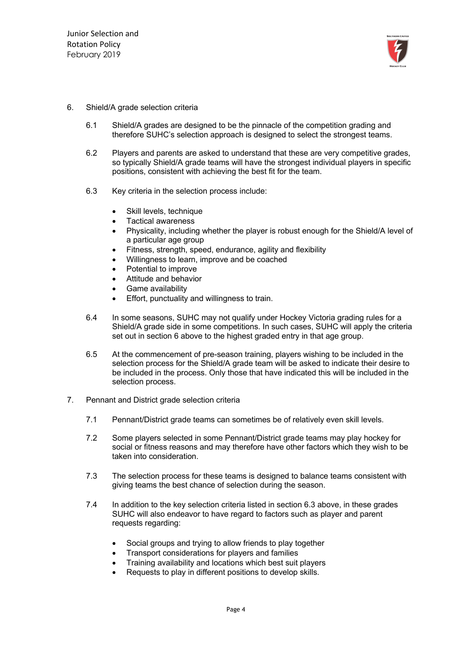

## 6. Shield/A grade selection criteria

- 6.1 Shield/A grades are designed to be the pinnacle of the competition grading and therefore SUHC's selection approach is designed to select the strongest teams.
- 6.2 Players and parents are asked to understand that these are very competitive grades, so typically Shield/A grade teams will have the strongest individual players in specific positions, consistent with achieving the best fit for the team.
- 6.3 Key criteria in the selection process include:
	- Skill levels, technique
	- Tactical awareness
	- Physicality, including whether the player is robust enough for the Shield/A level of a particular age group
	- Fitness, strength, speed, endurance, agility and flexibility
	- Willingness to learn, improve and be coached
	- Potential to improve
	- Attitude and behavior
	- Game availability
	- Effort, punctuality and willingness to train.
- 6.4 In some seasons, SUHC may not qualify under Hockey Victoria grading rules for a Shield/A grade side in some competitions. In such cases, SUHC will apply the criteria set out in section 6 above to the highest graded entry in that age group.
- 6.5 At the commencement of pre-season training, players wishing to be included in the selection process for the Shield/A grade team will be asked to indicate their desire to be included in the process. Only those that have indicated this will be included in the selection process.
- 7. Pennant and District grade selection criteria
	- 7.1 Pennant/District grade teams can sometimes be of relatively even skill levels.
	- 7.2 Some players selected in some Pennant/District grade teams may play hockey for social or fitness reasons and may therefore have other factors which they wish to be taken into consideration.
	- 7.3 The selection process for these teams is designed to balance teams consistent with giving teams the best chance of selection during the season.
	- 7.4 In addition to the key selection criteria listed in section 6.3 above, in these grades SUHC will also endeavor to have regard to factors such as player and parent requests regarding:
		- Social groups and trying to allow friends to play together
		- Transport considerations for players and families
		- Training availability and locations which best suit players
		- Requests to play in different positions to develop skills.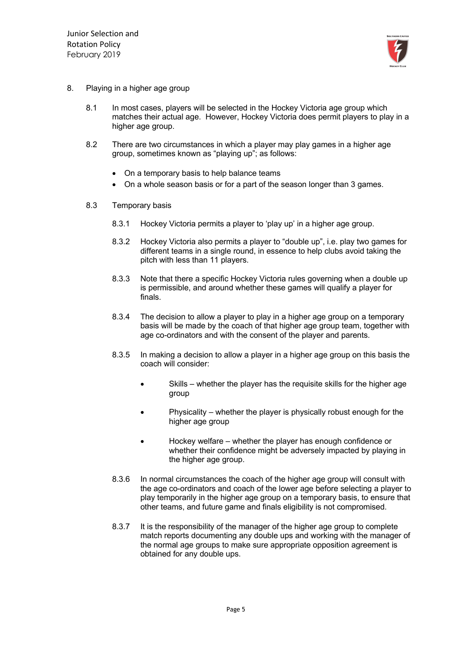

- 8. Playing in a higher age group
	- 8.1 In most cases, players will be selected in the Hockey Victoria age group which matches their actual age. However, Hockey Victoria does permit players to play in a higher age group.
	- 8.2 There are two circumstances in which a player may play games in a higher age group, sometimes known as "playing up"; as follows:
		- On a temporary basis to help balance teams
		- On a whole season basis or for a part of the season longer than 3 games.
	- 8.3 Temporary basis
		- 8.3.1 Hockey Victoria permits a player to 'play up' in a higher age group.
		- 8.3.2 Hockey Victoria also permits a player to "double up", i.e. play two games for different teams in a single round, in essence to help clubs avoid taking the pitch with less than 11 players.
		- 8.3.3 Note that there a specific Hockey Victoria rules governing when a double up is permissible, and around whether these games will qualify a player for finals.
		- 8.3.4 The decision to allow a player to play in a higher age group on a temporary basis will be made by the coach of that higher age group team, together with age co-ordinators and with the consent of the player and parents.
		- 8.3.5 In making a decision to allow a player in a higher age group on this basis the coach will consider:
			- Skills whether the player has the requisite skills for the higher age group
			- Physicality whether the player is physically robust enough for the higher age group
			- Hockey welfare whether the player has enough confidence or whether their confidence might be adversely impacted by playing in the higher age group.
		- 8.3.6 In normal circumstances the coach of the higher age group will consult with the age co-ordinators and coach of the lower age before selecting a player to play temporarily in the higher age group on a temporary basis, to ensure that other teams, and future game and finals eligibility is not compromised.
		- 8.3.7 It is the responsibility of the manager of the higher age group to complete match reports documenting any double ups and working with the manager of the normal age groups to make sure appropriate opposition agreement is obtained for any double ups.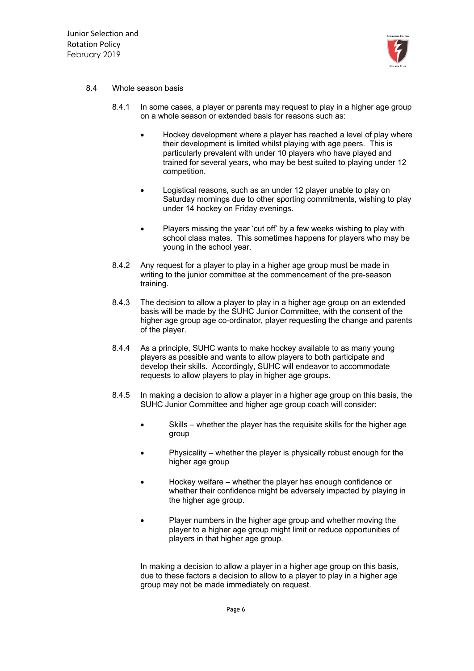

## 8.4 Whole season basis

- 8.4.1 In some cases, a player or parents may request to play in a higher age group on a whole season or extended basis for reasons such as:
	- Hockey development where a player has reached a level of play where their development is limited whilst playing with age peers. This is particularly prevalent with under 10 players who have played and trained for several years, who may be best suited to playing under 12 competition.
	- Logistical reasons, such as an under 12 player unable to play on Saturday mornings due to other sporting commitments, wishing to play under 14 hockey on Friday evenings.
	- Players missing the year 'cut off' by a few weeks wishing to play with school class mates. This sometimes happens for players who may be young in the school year.
- 8.4.2 Any request for a player to play in a higher age group must be made in writing to the junior committee at the commencement of the pre-season training.
- 8.4.3 The decision to allow a player to play in a higher age group on an extended basis will be made by the SUHC Junior Committee, with the consent of the higher age group age co-ordinator, player requesting the change and parents of the player.
- 8.4.4 As a principle, SUHC wants to make hockey available to as many young players as possible and wants to allow players to both participate and develop their skills. Accordingly, SUHC will endeavor to accommodate requests to allow players to play in higher age groups.
- 8.4.5 In making a decision to allow a player in a higher age group on this basis, the SUHC Junior Committee and higher age group coach will consider:
	- Skills whether the player has the requisite skills for the higher age group
	- Physicality whether the player is physically robust enough for the higher age group
	- Hockey welfare whether the player has enough confidence or whether their confidence might be adversely impacted by playing in the higher age group.
	- Player numbers in the higher age group and whether moving the player to a higher age group might limit or reduce opportunities of players in that higher age group.

In making a decision to allow a player in a higher age group on this basis, due to these factors a decision to allow to a player to play in a higher age group may not be made immediately on request.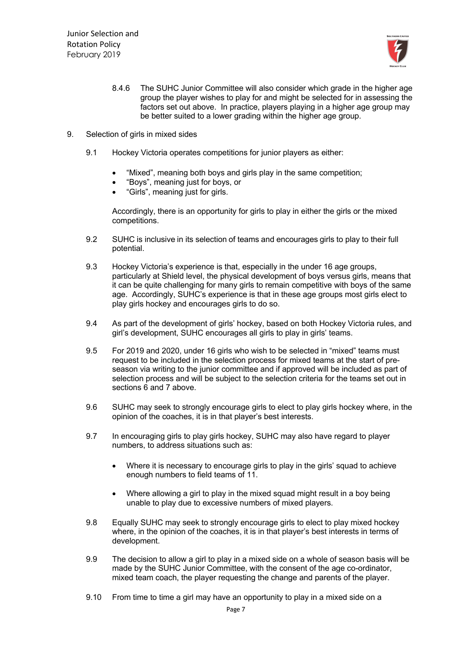

- 8.4.6 The SUHC Junior Committee will also consider which grade in the higher age group the player wishes to play for and might be selected for in assessing the factors set out above. In practice, players playing in a higher age group may be better suited to a lower grading within the higher age group.
- 9. Selection of girls in mixed sides
	- 9.1 Hockey Victoria operates competitions for junior players as either:
		- "Mixed", meaning both boys and girls play in the same competition;
		- "Boys", meaning just for boys, or
		- "Girls", meaning just for girls.

Accordingly, there is an opportunity for girls to play in either the girls or the mixed competitions.

- 9.2 SUHC is inclusive in its selection of teams and encourages girls to play to their full potential.
- 9.3 Hockey Victoria's experience is that, especially in the under 16 age groups, particularly at Shield level, the physical development of boys versus girls, means that it can be quite challenging for many girls to remain competitive with boys of the same age. Accordingly, SUHC's experience is that in these age groups most girls elect to play girls hockey and encourages girls to do so.
- 9.4 As part of the development of girls' hockey, based on both Hockey Victoria rules, and girl's development, SUHC encourages all girls to play in girls' teams.
- 9.5 For 2019 and 2020, under 16 girls who wish to be selected in "mixed" teams must request to be included in the selection process for mixed teams at the start of preseason via writing to the junior committee and if approved will be included as part of selection process and will be subject to the selection criteria for the teams set out in sections 6 and 7 above.
- 9.6 SUHC may seek to strongly encourage girls to elect to play girls hockey where, in the opinion of the coaches, it is in that player's best interests.
- 9.7 In encouraging girls to play girls hockey, SUHC may also have regard to player numbers, to address situations such as:
	- Where it is necessary to encourage girls to play in the girls' squad to achieve enough numbers to field teams of 11.
	- Where allowing a girl to play in the mixed squad might result in a boy being unable to play due to excessive numbers of mixed players.
- 9.8 Equally SUHC may seek to strongly encourage girls to elect to play mixed hockey where, in the opinion of the coaches, it is in that player's best interests in terms of development.
- 9.9 The decision to allow a girl to play in a mixed side on a whole of season basis will be made by the SUHC Junior Committee, with the consent of the age co-ordinator, mixed team coach, the player requesting the change and parents of the player.
- 9.10 From time to time a girl may have an opportunity to play in a mixed side on a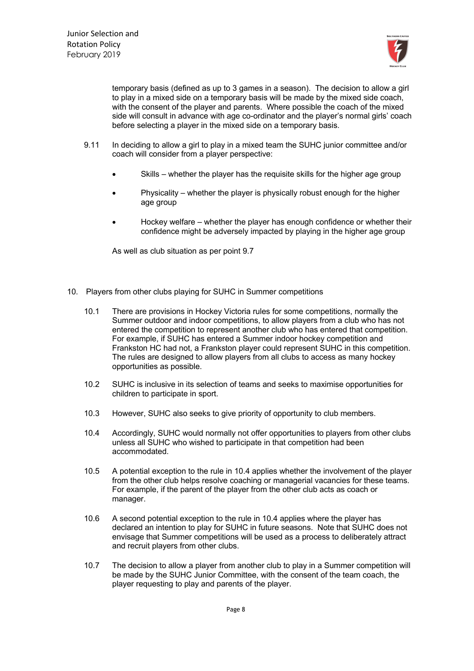

temporary basis (defined as up to 3 games in a season). The decision to allow a girl to play in a mixed side on a temporary basis will be made by the mixed side coach, with the consent of the player and parents. Where possible the coach of the mixed side will consult in advance with age co-ordinator and the player's normal girls' coach before selecting a player in the mixed side on a temporary basis.

- 9.11 In deciding to allow a girl to play in a mixed team the SUHC junior committee and/or coach will consider from a player perspective:
	- Skills whether the player has the requisite skills for the higher age group
	- Physicality whether the player is physically robust enough for the higher age group
	- Hockey welfare whether the player has enough confidence or whether their confidence might be adversely impacted by playing in the higher age group

As well as club situation as per point 9.7

- 10. Players from other clubs playing for SUHC in Summer competitions
	- 10.1 There are provisions in Hockey Victoria rules for some competitions, normally the Summer outdoor and indoor competitions, to allow players from a club who has not entered the competition to represent another club who has entered that competition. For example, if SUHC has entered a Summer indoor hockey competition and Frankston HC had not, a Frankston player could represent SUHC in this competition. The rules are designed to allow players from all clubs to access as many hockey opportunities as possible.
	- 10.2 SUHC is inclusive in its selection of teams and seeks to maximise opportunities for children to participate in sport.
	- 10.3 However, SUHC also seeks to give priority of opportunity to club members.
	- 10.4 Accordingly, SUHC would normally not offer opportunities to players from other clubs unless all SUHC who wished to participate in that competition had been accommodated.
	- 10.5 A potential exception to the rule in 10.4 applies whether the involvement of the player from the other club helps resolve coaching or managerial vacancies for these teams. For example, if the parent of the player from the other club acts as coach or manager.
	- 10.6 A second potential exception to the rule in 10.4 applies where the player has declared an intention to play for SUHC in future seasons. Note that SUHC does not envisage that Summer competitions will be used as a process to deliberately attract and recruit players from other clubs.
	- 10.7 The decision to allow a player from another club to play in a Summer competition will be made by the SUHC Junior Committee, with the consent of the team coach, the player requesting to play and parents of the player.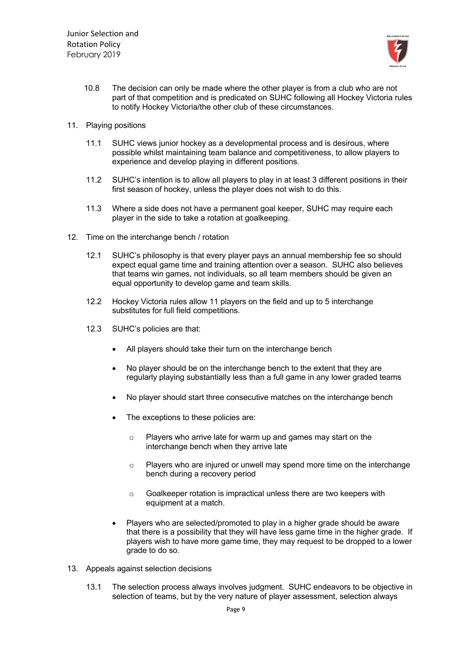

- 10.8 The decision can only be made where the other player is from a club who are not part of that competition and is predicated on SUHC following all Hockey Victoria rules to notify Hockey Victoria/the other club of these circumstances.
- 11. Playing positions
	- 11.1 SUHC views junior hockey as a developmental process and is desirous, where possible whilst maintaining team balance and competitiveness, to allow players to experience and develop playing in different positions.
	- 11.2 SUHC's intention is to allow all players to play in at least 3 different positions in their first season of hockey, unless the player does not wish to do this.
	- 11.3 Where a side does not have a permanent goal keeper, SUHC may require each player in the side to take a rotation at goalkeeping.
- 12. Time on the interchange bench / rotation
	- 12.1 SUHC's philosophy is that every player pays an annual membership fee so should expect equal game time and training attention over a season. SUHC also believes that teams win games, not individuals, so all team members should be given an equal opportunity to develop game and team skills.
	- 12.2 Hockey Victoria rules allow 11 players on the field and up to 5 interchange substitutes for full field competitions.
	- 12.3 SUHC's policies are that:
		- All players should take their turn on the interchange bench
		- No player should be on the interchange bench to the extent that they are regularly playing substantially less than a full game in any lower graded teams
		- No player should start three consecutive matches on the interchange bench
		- The exceptions to these policies are:
			- o Players who arrive late for warm up and games may start on the interchange bench when they arrive late
			- o Players who are injured or unwell may spend more time on the interchange bench during a recovery period
			- o Goalkeeper rotation is impractical unless there are two keepers with equipment at a match.
		- Players who are selected/promoted to play in a higher grade should be aware that there is a possibility that they will have less game time in the higher grade. If players wish to have more game time, they may request to be dropped to a lower grade to do so.
- 13. Appeals against selection decisions
	- 13.1 The selection process always involves judgment. SUHC endeavors to be objective in selection of teams, but by the very nature of player assessment, selection always